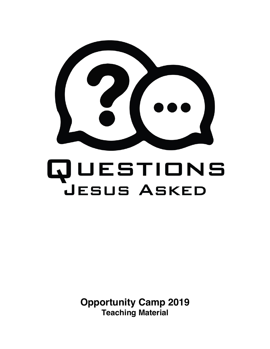

# QUESTIONS **JESUS ASKED**

**Opportunity Camp 2019 Teaching Material**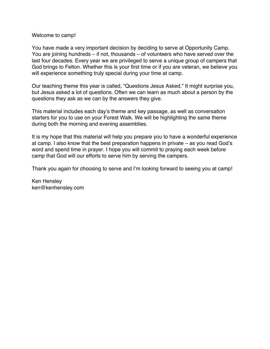#### Welcome to camp!

You have made a very important decision by deciding to serve at Opportunity Camp. You are joining hundreds – if not, thousands – of volunteers who have served over the last four decades. Every year we are privileged to serve a unique group of campers that God brings to Felton. Whether this is your first time or if you are veteran, we believe you will experience something truly special during your time at camp.

Our teaching theme this year is called, "Questions Jesus Asked." It might surprise you, but Jesus asked a lot of questions. Often we can learn as much about a person by the questions they ask as we can by the answers they give.

This material includes each day's theme and key passage, as well as conversation starters for you to use on your Forest Walk. We will be highlighting the same theme during both the morning and evening assemblies.

It is my hope that this material will help you prepare you to have a wonderful experience at camp. I also know that the best preparation happens in private – as you read God's word and spend time in prayer. I hope you will commit to praying each week before camp that God will our efforts to serve him by serving the campers.

Thank you again for choosing to serve and I'm looking forward to seeing you at camp!

Ken Hensley ken@kenhensley.com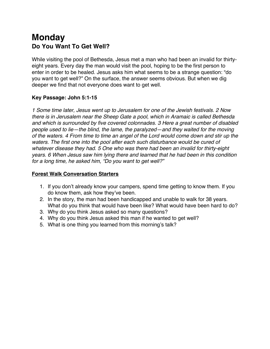## **Monday Do You Want To Get Well?**

While visiting the pool of Bethesda, Jesus met a man who had been an invalid for thirtyeight years. Every day the man would visit the pool, hoping to be the first person to enter in order to be healed. Jesus asks him what seems to be a strange question: "do you want to get well?" On the surface, the answer seems obvious. But when we dig deeper we find that not everyone does want to get well.

#### **Key Passage: John 5:1-15**

*1 Some time later, Jesus went up to Jerusalem for one of the Jewish festivals. 2 Now there is in Jerusalem near the Sheep Gate a pool, which in Aramaic is called Bethesda and which is surrounded by five covered colonnades. 3 Here a great number of disabled people used to lie—the blind, the lame, the paralyzed—and they waited for the moving of the waters. 4 From time to time an angel of the Lord would come down and stir up the*  waters. The first one into the pool after each such disturbance would be cured of *whatever disease they had. 5 One who was there had been an invalid for thirty-eight years. 6 When Jesus saw him lying there and learned that he had been in this condition for a long time, he asked him, "Do you want to get well?"*

- 1. If you don't already know your campers, spend time getting to know them. If you do know them, ask how they've been.
- 2. In the story, the man had been handicapped and unable to walk for 38 years. What do you think that would have been like? What would have been hard to do?
- 3. Why do you think Jesus asked so many questions?
- 4. Why do you think Jesus asked this man if he wanted to get well?
- 5. What is one thing you learned from this morning's talk?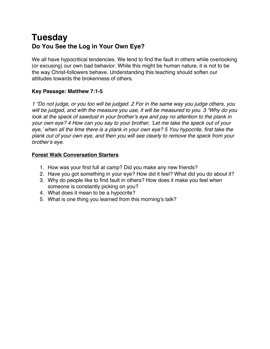## **Tuesday Do You See the Log in Your Own Eye?**

We all have hypocritical tendencies. We tend to find the fault in others while overlooking (or excusing) our own bad behavior. While this might be human nature, it is not to be the way Christ-followers behave. Understanding this teaching should soften our attitudes towards the brokenness of others.

#### **Key Passage: Matthew 7:1-5**

*1 "Do not judge, or you too will be judged. 2 For in the same way you judge others, you will be judged, and with the measure you use, it will be measured to you. 3 "Why do you*  look at the speck of sawdust in your brother's eye and pay no attention to the plank in *your own eye? 4 How can you say to your brother, 'Let me take the speck out of your eye,' when all the time there is a plank in your own eye? 5 You hypocrite, first take the plank out of your own eye, and then you will see clearly to remove the speck from your brother's eye*.

- 1. How was your first full at camp? Did you make any new friends?
- 2. Have you got something in your eye? How did it feel? What did you do about it?
- 3. Why do people like to find fault in others? How does it make you feel when someone is constantly picking on you?
- 4. What does it mean to be a hypocrite?
- 5. What is one thing you learned from this morning's talk?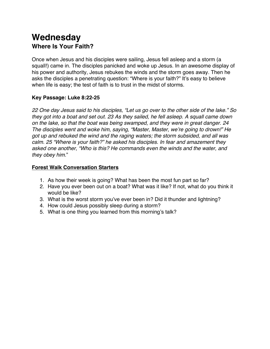## **Wednesday Where Is Your Faith?**

Once when Jesus and his disciples were sailing, Jesus fell asleep and a storm (a squall!) came in. The disciples panicked and woke up Jesus. In an awesome display of his power and authority, Jesus rebukes the winds and the storm goes away. Then he asks the disciples a penetrating question: "Where is your faith?" It's easy to believe when life is easy; the test of faith is to trust in the midst of storms.

#### **Key Passage: Luke 8:22-25**

*22 One day Jesus said to his disciples, "Let us go over to the other side of the lake." So they got into a boat and set out. 23 As they sailed, he fell asleep. A squall came down on the lake, so that the boat was being swamped, and they were in great danger. 24 The disciples went and woke him, saying, "Master, Master, we're going to drown!" He got up and rebuked the wind and the raging waters; the storm subsided, and all was calm. 25 "Where is your faith?" he asked his disciples. In fear and amazement they asked one another, "Who is this? He commands even the winds and the water, and they obey him.*"

- 1. As how their week is going? What has been the most fun part so far?
- 2. Have you ever been out on a boat? What was it like? If not, what do you think it would be like?
- 3. What is the worst storm you've ever been in? Did it thunder and lightning?
- 4. How could Jesus possibly sleep during a storm?
- 5. What is one thing you learned from this morning's talk?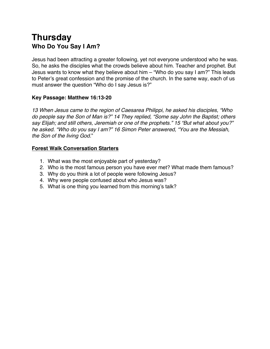## **Thursday Who Do You Say I Am?**

Jesus had been attracting a greater following, yet not everyone understood who he was. So, he asks the disciples what the crowds believe about him. Teacher and prophet. But Jesus wants to know what they believe about him – "Who do you say I am?" This leads to Peter's great confession and the promise of the church. In the same way, each of us must answer the question "Who do I say Jesus is?"

#### **Key Passage: Matthew 16:13-20**

*13 When Jesus came to the region of Caesarea Philippi, he asked his disciples, "Who do people say the Son of Man is?" 14 They replied, "Some say John the Baptist; others say Elijah; and still others, Jeremiah or one of the prophets." 15 "But what about you?" he asked. "Who do you say I am?" 16 Simon Peter answered, "You are the Messiah, the Son of the living God.*"

- 1. What was the most enjoyable part of yesterday?
- 2. Who is the most famous person you have ever met? What made them famous?
- 3. Why do you think a lot of people were following Jesus?
- 4. Why were people confused about who Jesus was?
- 5. What is one thing you learned from this morning's talk?